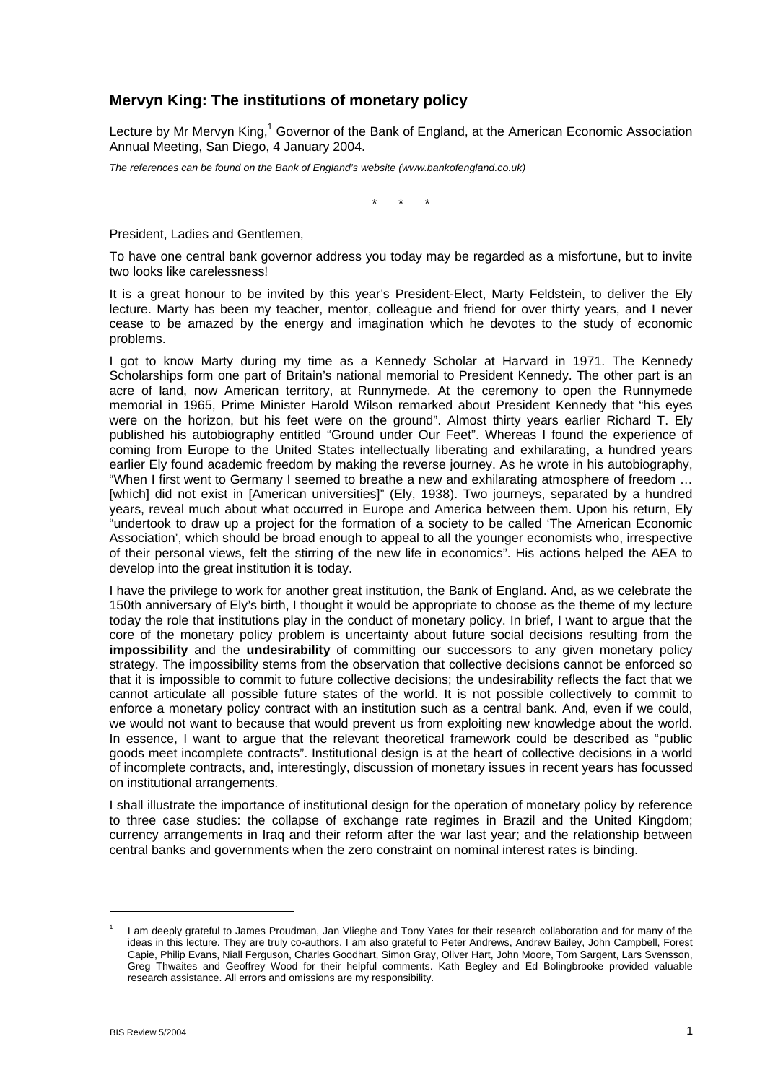# **Mervyn King: The institutions of monetary policy**

Lecture by Mr Mervyn King,<sup>1</sup> Governor of the Bank of England, at the American Economic Association Annual Meeting, San Diego, 4 January 2004.

*The references can be found on the Bank of England's website (www.bankofengland.co.uk)* 

\* \* \*

President, Ladies and Gentlemen,

To have one central bank governor address you today may be regarded as a misfortune, but to invite two looks like carelessness!

It is a great honour to be invited by this year's President-Elect, Marty Feldstein, to deliver the Ely lecture. Marty has been my teacher, mentor, colleague and friend for over thirty years, and I never cease to be amazed by the energy and imagination which he devotes to the study of economic problems.

I got to know Marty during my time as a Kennedy Scholar at Harvard in 1971. The Kennedy Scholarships form one part of Britain's national memorial to President Kennedy. The other part is an acre of land, now American territory, at Runnymede. At the ceremony to open the Runnymede memorial in 1965, Prime Minister Harold Wilson remarked about President Kennedy that "his eyes were on the horizon, but his feet were on the ground". Almost thirty years earlier Richard T. Ely published his autobiography entitled "Ground under Our Feet". Whereas I found the experience of coming from Europe to the United States intellectually liberating and exhilarating, a hundred years earlier Ely found academic freedom by making the reverse journey. As he wrote in his autobiography, "When I first went to Germany I seemed to breathe a new and exhilarating atmosphere of freedom … [which] did not exist in [American universities]" (Ely, 1938). Two journeys, separated by a hundred years, reveal much about what occurred in Europe and America between them. Upon his return, Ely "undertook to draw up a project for the formation of a society to be called 'The American Economic Association', which should be broad enough to appeal to all the younger economists who, irrespective of their personal views, felt the stirring of the new life in economics". His actions helped the AEA to develop into the great institution it is today.

I have the privilege to work for another great institution, the Bank of England. And, as we celebrate the 150th anniversary of Ely's birth, I thought it would be appropriate to choose as the theme of my lecture today the role that institutions play in the conduct of monetary policy. In brief, I want to argue that the core of the monetary policy problem is uncertainty about future social decisions resulting from the **impossibility** and the **undesirability** of committing our successors to any given monetary policy strategy. The impossibility stems from the observation that collective decisions cannot be enforced so that it is impossible to commit to future collective decisions; the undesirability reflects the fact that we cannot articulate all possible future states of the world. It is not possible collectively to commit to enforce a monetary policy contract with an institution such as a central bank. And, even if we could, we would not want to because that would prevent us from exploiting new knowledge about the world. In essence, I want to argue that the relevant theoretical framework could be described as "public goods meet incomplete contracts". Institutional design is at the heart of collective decisions in a world of incomplete contracts, and, interestingly, discussion of monetary issues in recent years has focussed on institutional arrangements.

I shall illustrate the importance of institutional design for the operation of monetary policy by reference to three case studies: the collapse of exchange rate regimes in Brazil and the United Kingdom; currency arrangements in Iraq and their reform after the war last year; and the relationship between central banks and governments when the zero constraint on nominal interest rates is binding.

<sup>1</sup> I am deeply grateful to James Proudman, Jan Vlieghe and Tony Yates for their research collaboration and for many of the ideas in this lecture. They are truly co-authors. I am also grateful to Peter Andrews, Andrew Bailey, John Campbell, Forest Capie, Philip Evans, Niall Ferguson, Charles Goodhart, Simon Gray, Oliver Hart, John Moore, Tom Sargent, Lars Svensson, Greg Thwaites and Geoffrey Wood for their helpful comments. Kath Begley and Ed Bolingbrooke provided valuable research assistance. All errors and omissions are my responsibility.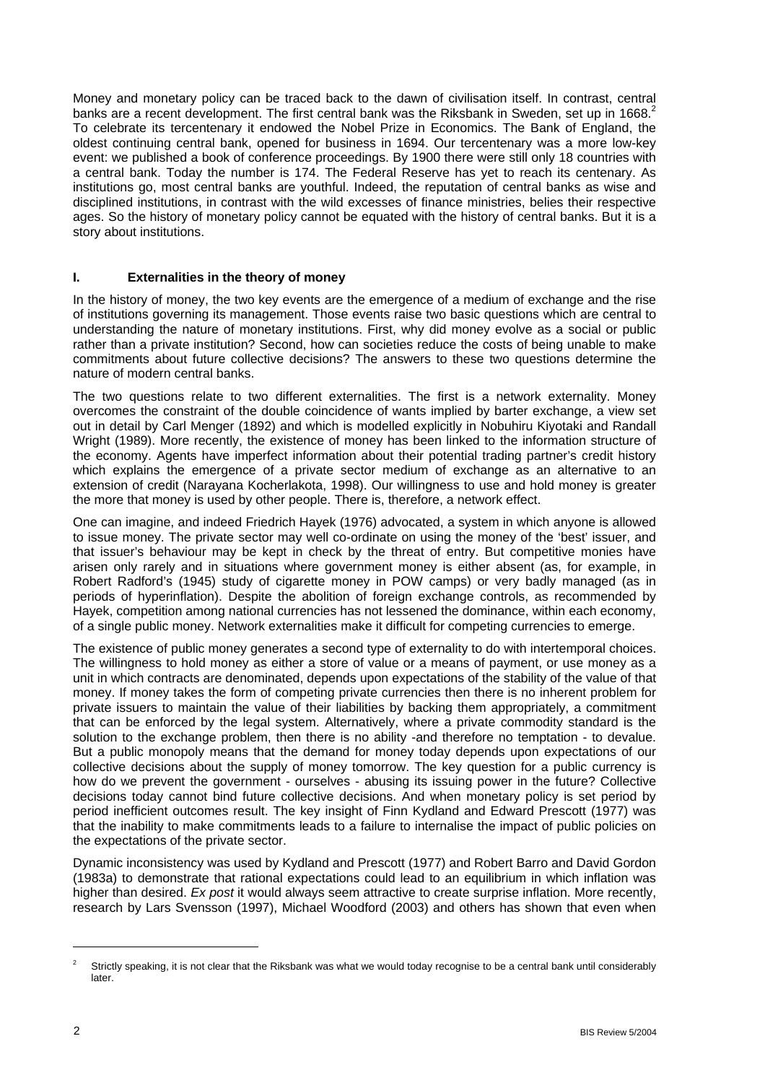Money and monetary policy can be traced back to the dawn of civilisation itself. In contrast, central banks are a recent development. The first central bank was the Riksbank in Sweden, set up in 1668. $^2$ To celebrate its tercentenary it endowed the Nobel Prize in Economics. The Bank of England, the oldest continuing central bank, opened for business in 1694. Our tercentenary was a more low-key event: we published a book of conference proceedings. By 1900 there were still only 18 countries with a central bank. Today the number is 174. The Federal Reserve has yet to reach its centenary. As institutions go, most central banks are youthful. Indeed, the reputation of central banks as wise and disciplined institutions, in contrast with the wild excesses of finance ministries, belies their respective ages. So the history of monetary policy cannot be equated with the history of central banks. But it is a story about institutions.

### **I. Externalities in the theory of money**

In the history of money, the two key events are the emergence of a medium of exchange and the rise of institutions governing its management. Those events raise two basic questions which are central to understanding the nature of monetary institutions. First, why did money evolve as a social or public rather than a private institution? Second, how can societies reduce the costs of being unable to make commitments about future collective decisions? The answers to these two questions determine the nature of modern central banks.

The two questions relate to two different externalities. The first is a network externality. Money overcomes the constraint of the double coincidence of wants implied by barter exchange, a view set out in detail by Carl Menger (1892) and which is modelled explicitly in Nobuhiru Kiyotaki and Randall Wright (1989). More recently, the existence of money has been linked to the information structure of the economy. Agents have imperfect information about their potential trading partner's credit history which explains the emergence of a private sector medium of exchange as an alternative to an extension of credit (Narayana Kocherlakota, 1998). Our willingness to use and hold money is greater the more that money is used by other people. There is, therefore, a network effect.

One can imagine, and indeed Friedrich Hayek (1976) advocated, a system in which anyone is allowed to issue money. The private sector may well co-ordinate on using the money of the 'best' issuer, and that issuer's behaviour may be kept in check by the threat of entry. But competitive monies have arisen only rarely and in situations where government money is either absent (as, for example, in Robert Radford's (1945) study of cigarette money in POW camps) or very badly managed (as in periods of hyperinflation). Despite the abolition of foreign exchange controls, as recommended by Hayek, competition among national currencies has not lessened the dominance, within each economy, of a single public money. Network externalities make it difficult for competing currencies to emerge.

The existence of public money generates a second type of externality to do with intertemporal choices. The willingness to hold money as either a store of value or a means of payment, or use money as a unit in which contracts are denominated, depends upon expectations of the stability of the value of that money. If money takes the form of competing private currencies then there is no inherent problem for private issuers to maintain the value of their liabilities by backing them appropriately, a commitment that can be enforced by the legal system. Alternatively, where a private commodity standard is the solution to the exchange problem, then there is no ability -and therefore no temptation - to devalue. But a public monopoly means that the demand for money today depends upon expectations of our collective decisions about the supply of money tomorrow. The key question for a public currency is how do we prevent the government - ourselves - abusing its issuing power in the future? Collective decisions today cannot bind future collective decisions. And when monetary policy is set period by period inefficient outcomes result. The key insight of Finn Kydland and Edward Prescott (1977) was that the inability to make commitments leads to a failure to internalise the impact of public policies on the expectations of the private sector.

Dynamic inconsistency was used by Kydland and Prescott (1977) and Robert Barro and David Gordon (1983a) to demonstrate that rational expectations could lead to an equilibrium in which inflation was higher than desired. *Ex post* it would always seem attractive to create surprise inflation. More recently, research by Lars Svensson (1997), Michael Woodford (2003) and others has shown that even when

<sup>&</sup>lt;sup>2</sup> Strictly speaking, it is not clear that the Riksbank was what we would today recognise to be a central bank until considerably later.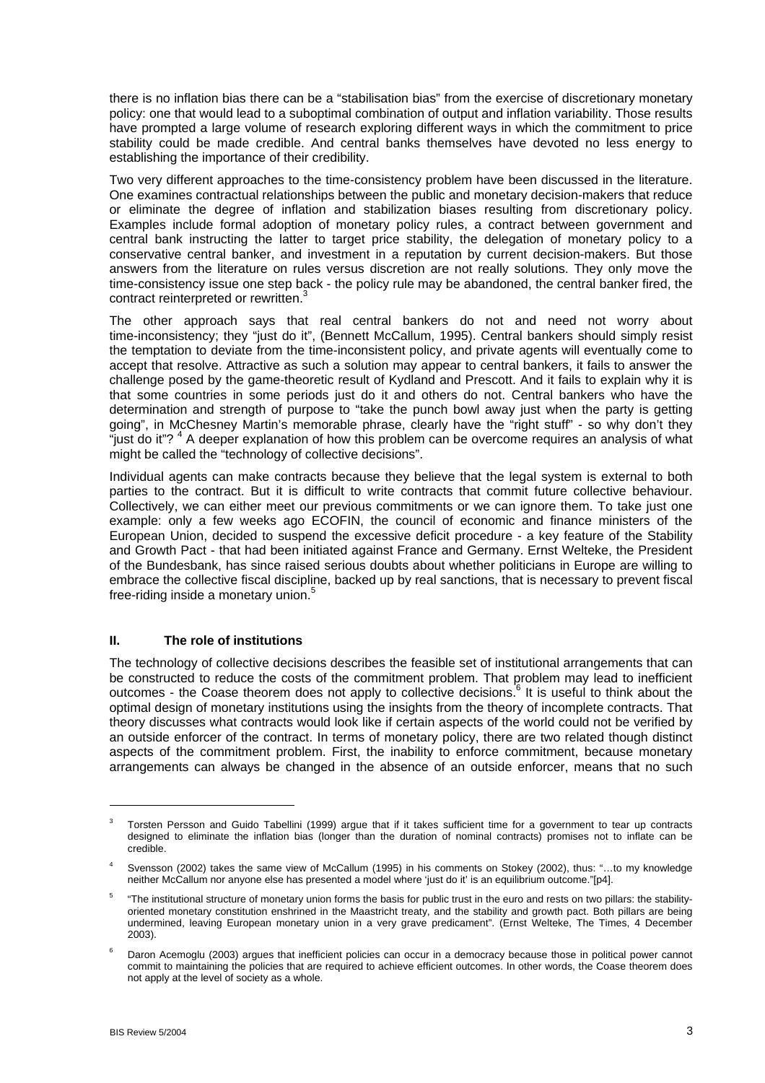there is no inflation bias there can be a "stabilisation bias" from the exercise of discretionary monetary policy: one that would lead to a suboptimal combination of output and inflation variability. Those results have prompted a large volume of research exploring different ways in which the commitment to price stability could be made credible. And central banks themselves have devoted no less energy to establishing the importance of their credibility.

Two very different approaches to the time-consistency problem have been discussed in the literature. One examines contractual relationships between the public and monetary decision-makers that reduce or eliminate the degree of inflation and stabilization biases resulting from discretionary policy. Examples include formal adoption of monetary policy rules, a contract between government and central bank instructing the latter to target price stability, the delegation of monetary policy to a conservative central banker, and investment in a reputation by current decision-makers. But those answers from the literature on rules versus discretion are not really solutions. They only move the time-consistency issue one step back - the policy rule may be abandoned, the central banker fired, the contract reinterpreted or rewritten.<sup>3</sup>

The other approach says that real central bankers do not and need not worry about time-inconsistency; they "just do it", (Bennett McCallum, 1995). Central bankers should simply resist the temptation to deviate from the time-inconsistent policy, and private agents will eventually come to accept that resolve. Attractive as such a solution may appear to central bankers, it fails to answer the challenge posed by the game-theoretic result of Kydland and Prescott. And it fails to explain why it is that some countries in some periods just do it and others do not. Central bankers who have the determination and strength of purpose to "take the punch bowl away just when the party is getting going", in McChesney Martin's memorable phrase, clearly have the "right stuff" - so why don't they "just do it"?<sup>4</sup> A deeper explanation of how this problem can be overcome requires an analysis of what might be called the "technology of collective decisions".

Individual agents can make contracts because they believe that the legal system is external to both parties to the contract. But it is difficult to write contracts that commit future collective behaviour. Collectively, we can either meet our previous commitments or we can ignore them. To take just one example: only a few weeks ago ECOFIN, the council of economic and finance ministers of the European Union, decided to suspend the excessive deficit procedure - a key feature of the Stability and Growth Pact - that had been initiated against France and Germany. Ernst Welteke, the President of the Bundesbank, has since raised serious doubts about whether politicians in Europe are willing to embrace the collective fiscal discipline, backed up by real sanctions, that is necessary to prevent fiscal free-riding inside a monetary union.<sup>5</sup>

## **II. The role of institutions**

The technology of collective decisions describes the feasible set of institutional arrangements that can be constructed to reduce the costs of the commitment problem. That problem may lead to inefficient outcomes - the Coase theorem does not apply to collective decisions.<sup>6</sup> It is useful to think about the optimal design of monetary institutions using the insights from the theory of incomplete contracts. That theory discusses what contracts would look like if certain aspects of the world could not be verified by an outside enforcer of the contract. In terms of monetary policy, there are two related though distinct aspects of the commitment problem. First, the inability to enforce commitment, because monetary arrangements can always be changed in the absence of an outside enforcer, means that no such

<sup>3</sup> Torsten Persson and Guido Tabellini (1999) argue that if it takes sufficient time for a government to tear up contracts designed to eliminate the inflation bias (longer than the duration of nominal contracts) promises not to inflate can be credible.

<sup>4</sup> Svensson (2002) takes the same view of McCallum (1995) in his comments on Stokey (2002), thus: "…to my knowledge neither McCallum nor anyone else has presented a model where 'just do it' is an equilibrium outcome."[p4].

<sup>5</sup> "The institutional structure of monetary union forms the basis for public trust in the euro and rests on two pillars: the stabilityoriented monetary constitution enshrined in the Maastricht treaty, and the stability and growth pact. Both pillars are being undermined, leaving European monetary union in a very grave predicament". (Ernst Welteke, The Times, 4 December 2003).

Daron Acemoglu (2003) argues that inefficient policies can occur in a democracy because those in political power cannot commit to maintaining the policies that are required to achieve efficient outcomes. In other words, the Coase theorem does not apply at the level of society as a whole.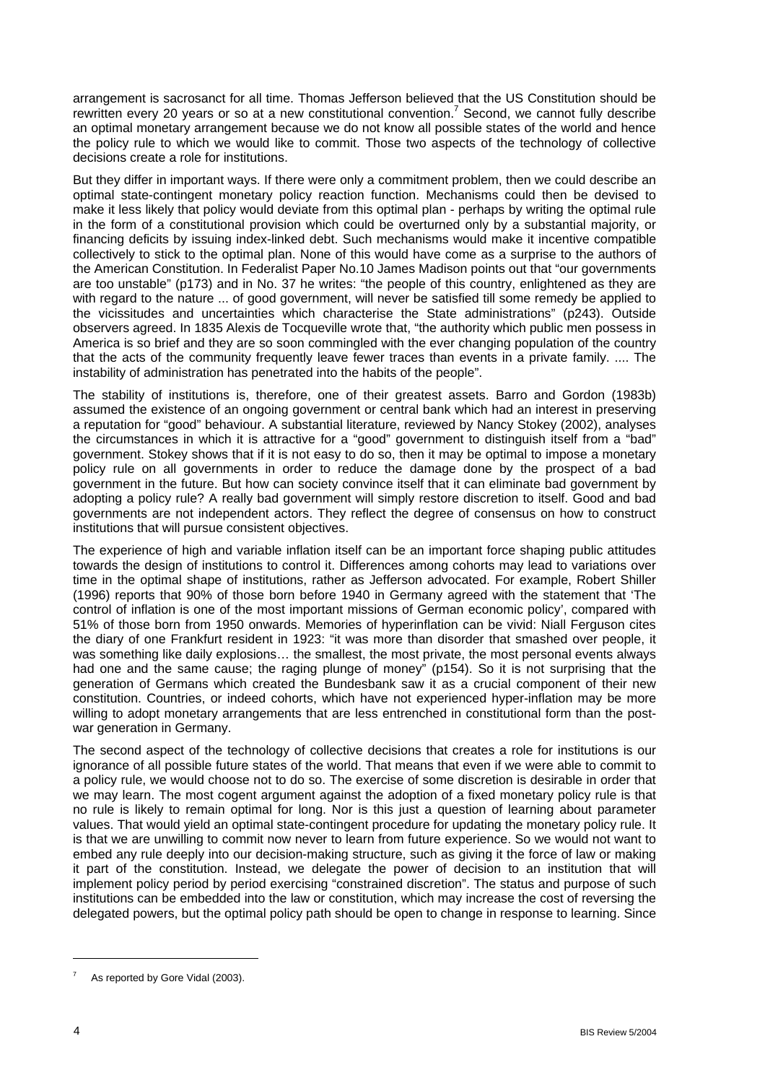arrangement is sacrosanct for all time. Thomas Jefferson believed that the US Constitution should be rewritten every 20 years or so at a new constitutional convention.<sup>7</sup> Second, we cannot fully describe an optimal monetary arrangement because we do not know all possible states of the world and hence the policy rule to which we would like to commit. Those two aspects of the technology of collective decisions create a role for institutions.

But they differ in important ways. If there were only a commitment problem, then we could describe an optimal state-contingent monetary policy reaction function. Mechanisms could then be devised to make it less likely that policy would deviate from this optimal plan - perhaps by writing the optimal rule in the form of a constitutional provision which could be overturned only by a substantial majority, or financing deficits by issuing index-linked debt. Such mechanisms would make it incentive compatible collectively to stick to the optimal plan. None of this would have come as a surprise to the authors of the American Constitution. In Federalist Paper No.10 James Madison points out that "our governments are too unstable" (p173) and in No. 37 he writes: "the people of this country, enlightened as they are with regard to the nature ... of good government, will never be satisfied till some remedy be applied to the vicissitudes and uncertainties which characterise the State administrations" (p243). Outside observers agreed. In 1835 Alexis de Tocqueville wrote that, "the authority which public men possess in America is so brief and they are so soon commingled with the ever changing population of the country that the acts of the community frequently leave fewer traces than events in a private family. .... The instability of administration has penetrated into the habits of the people".

The stability of institutions is, therefore, one of their greatest assets. Barro and Gordon (1983b) assumed the existence of an ongoing government or central bank which had an interest in preserving a reputation for "good" behaviour. A substantial literature, reviewed by Nancy Stokey (2002), analyses the circumstances in which it is attractive for a "good" government to distinguish itself from a "bad" government. Stokey shows that if it is not easy to do so, then it may be optimal to impose a monetary policy rule on all governments in order to reduce the damage done by the prospect of a bad government in the future. But how can society convince itself that it can eliminate bad government by adopting a policy rule? A really bad government will simply restore discretion to itself. Good and bad governments are not independent actors. They reflect the degree of consensus on how to construct institutions that will pursue consistent objectives.

The experience of high and variable inflation itself can be an important force shaping public attitudes towards the design of institutions to control it. Differences among cohorts may lead to variations over time in the optimal shape of institutions, rather as Jefferson advocated. For example, Robert Shiller (1996) reports that 90% of those born before 1940 in Germany agreed with the statement that 'The control of inflation is one of the most important missions of German economic policy', compared with 51% of those born from 1950 onwards. Memories of hyperinflation can be vivid: Niall Ferguson cites the diary of one Frankfurt resident in 1923: "it was more than disorder that smashed over people, it was something like daily explosions… the smallest, the most private, the most personal events always had one and the same cause; the raging plunge of money" (p154). So it is not surprising that the generation of Germans which created the Bundesbank saw it as a crucial component of their new constitution. Countries, or indeed cohorts, which have not experienced hyper-inflation may be more willing to adopt monetary arrangements that are less entrenched in constitutional form than the postwar generation in Germany.

The second aspect of the technology of collective decisions that creates a role for institutions is our ignorance of all possible future states of the world. That means that even if we were able to commit to a policy rule, we would choose not to do so. The exercise of some discretion is desirable in order that we may learn. The most cogent argument against the adoption of a fixed monetary policy rule is that no rule is likely to remain optimal for long. Nor is this just a question of learning about parameter values. That would yield an optimal state-contingent procedure for updating the monetary policy rule. It is that we are unwilling to commit now never to learn from future experience. So we would not want to embed any rule deeply into our decision-making structure, such as giving it the force of law or making it part of the constitution. Instead, we delegate the power of decision to an institution that will implement policy period by period exercising "constrained discretion". The status and purpose of such institutions can be embedded into the law or constitution, which may increase the cost of reversing the delegated powers, but the optimal policy path should be open to change in response to learning. Since

<sup>7</sup> As reported by Gore Vidal (2003).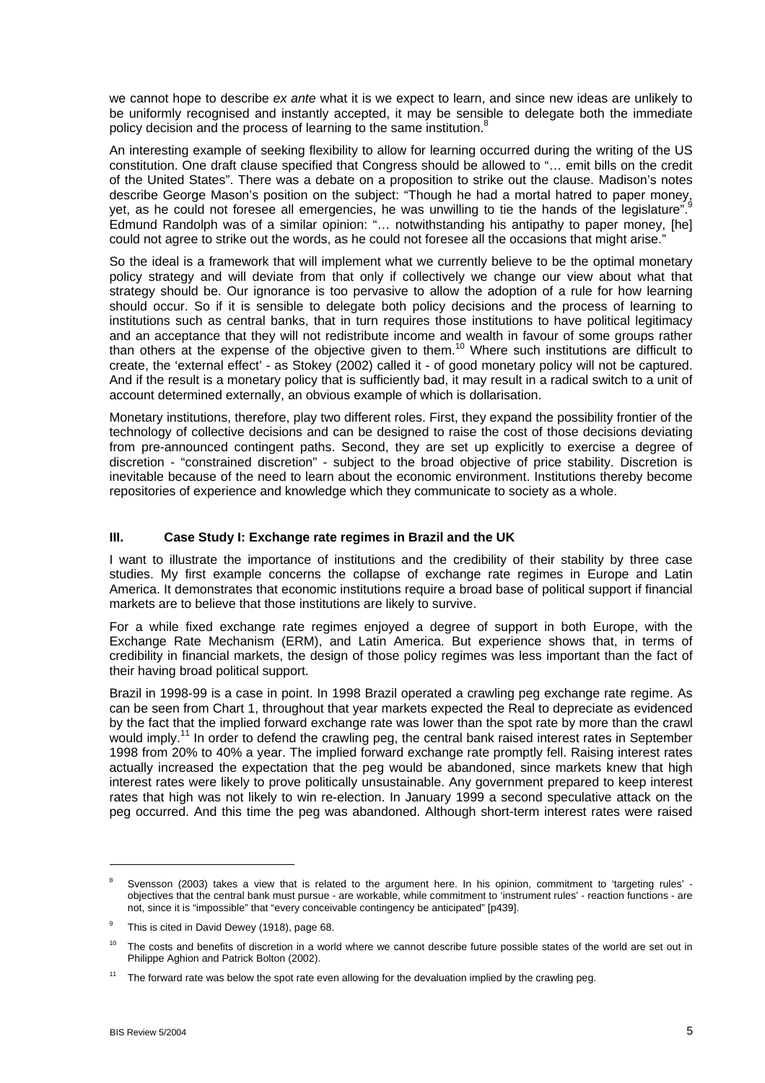we cannot hope to describe *ex ante* what it is we expect to learn, and since new ideas are unlikely to be uniformly recognised and instantly accepted, it may be sensible to delegate both the immediate policy decision and the process of learning to the same institution.<sup>8</sup>

An interesting example of seeking flexibility to allow for learning occurred during the writing of the US constitution. One draft clause specified that Congress should be allowed to "… emit bills on the credit of the United States". There was a debate on a proposition to strike out the clause. Madison's notes describe George Mason's position on the subject: "Though he had a mortal hatred to paper money, describe George Mason's position on the subject: "Though he had a mortal hatred to paper money, yet, as he could not foresee all emergencies, he was unwilling to tie the hands of the legislature". Edmund Randolph was of a similar opinion: "… notwithstanding his antipathy to paper money, [he] could not agree to strike out the words, as he could not foresee all the occasions that might arise."

So the ideal is a framework that will implement what we currently believe to be the optimal monetary policy strategy and will deviate from that only if collectively we change our view about what that strategy should be. Our ignorance is too pervasive to allow the adoption of a rule for how learning should occur. So if it is sensible to delegate both policy decisions and the process of learning to institutions such as central banks, that in turn requires those institutions to have political legitimacy and an acceptance that they will not redistribute income and wealth in favour of some groups rather than others at the expense of the objective given to them.10 Where such institutions are difficult to create, the 'external effect' - as Stokey (2002) called it - of good monetary policy will not be captured. And if the result is a monetary policy that is sufficiently bad, it may result in a radical switch to a unit of account determined externally, an obvious example of which is dollarisation.

Monetary institutions, therefore, play two different roles. First, they expand the possibility frontier of the technology of collective decisions and can be designed to raise the cost of those decisions deviating from pre-announced contingent paths. Second, they are set up explicitly to exercise a degree of discretion - "constrained discretion" - subject to the broad objective of price stability. Discretion is inevitable because of the need to learn about the economic environment. Institutions thereby become repositories of experience and knowledge which they communicate to society as a whole.

#### **III. Case Study I: Exchange rate regimes in Brazil and the UK**

I want to illustrate the importance of institutions and the credibility of their stability by three case studies. My first example concerns the collapse of exchange rate regimes in Europe and Latin America. It demonstrates that economic institutions require a broad base of political support if financial markets are to believe that those institutions are likely to survive.

For a while fixed exchange rate regimes enjoyed a degree of support in both Europe, with the Exchange Rate Mechanism (ERM), and Latin America. But experience shows that, in terms of credibility in financial markets, the design of those policy regimes was less important than the fact of their having broad political support.

Brazil in 1998-99 is a case in point. In 1998 Brazil operated a crawling peg exchange rate regime. As can be seen from Chart 1, throughout that year markets expected the Real to depreciate as evidenced by the fact that the implied forward exchange rate was lower than the spot rate by more than the crawl would imply.<sup>11</sup> In order to defend the crawling peg, the central bank raised interest rates in September 1998 from 20% to 40% a year. The implied forward exchange rate promptly fell. Raising interest rates actually increased the expectation that the peg would be abandoned, since markets knew that high interest rates were likely to prove politically unsustainable. Any government prepared to keep interest rates that high was not likely to win re-election. In January 1999 a second speculative attack on the peg occurred. And this time the peg was abandoned. Although short-term interest rates were raised

Svensson (2003) takes a view that is related to the argument here. In his opinion, commitment to 'targeting rules' objectives that the central bank must pursue - are workable, while commitment to 'instrument rules' - reaction functions - are not, since it is "impossible" that "every conceivable contingency be anticipated" [p439].

<sup>9</sup> This is cited in David Dewey (1918), page 68.

 $10$  The costs and benefits of discretion in a world where we cannot describe future possible states of the world are set out in Philippe Aghion and Patrick Bolton (2002).

 $11$  The forward rate was below the spot rate even allowing for the devaluation implied by the crawling peg.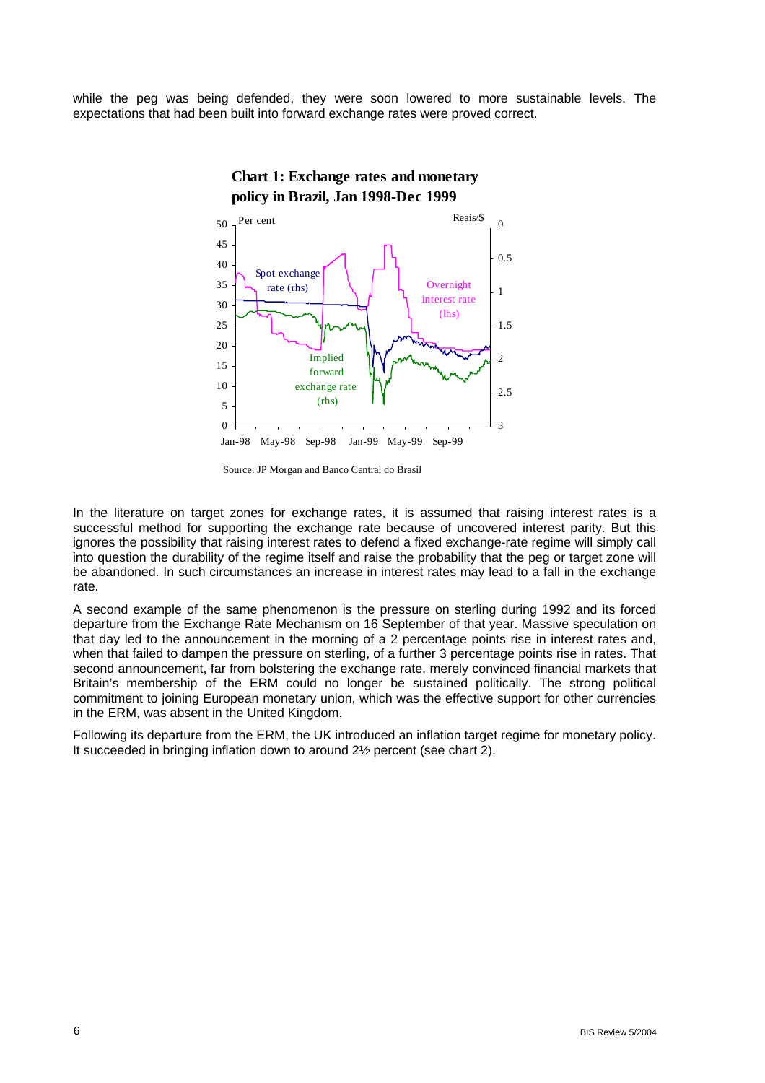while the peg was being defended, they were soon lowered to more sustainable levels. The expectations that had been built into forward exchange rates were proved correct.





Source: JP Morgan and Banco Central do Brasil

In the literature on target zones for exchange rates, it is assumed that raising interest rates is a successful method for supporting the exchange rate because of uncovered interest parity. But this ignores the possibility that raising interest rates to defend a fixed exchange-rate regime will simply call into question the durability of the regime itself and raise the probability that the peg or target zone will be abandoned. In such circumstances an increase in interest rates may lead to a fall in the exchange rate.

A second example of the same phenomenon is the pressure on sterling during 1992 and its forced departure from the Exchange Rate Mechanism on 16 September of that year. Massive speculation on that day led to the announcement in the morning of a 2 percentage points rise in interest rates and, when that failed to dampen the pressure on sterling, of a further 3 percentage points rise in rates. That second announcement, far from bolstering the exchange rate, merely convinced financial markets that Britain's membership of the ERM could no longer be sustained politically. The strong political commitment to joining European monetary union, which was the effective support for other currencies in the ERM, was absent in the United Kingdom.

Following its departure from the ERM, the UK introduced an inflation target regime for monetary policy. It succeeded in bringing inflation down to around 2½ percent (see chart 2).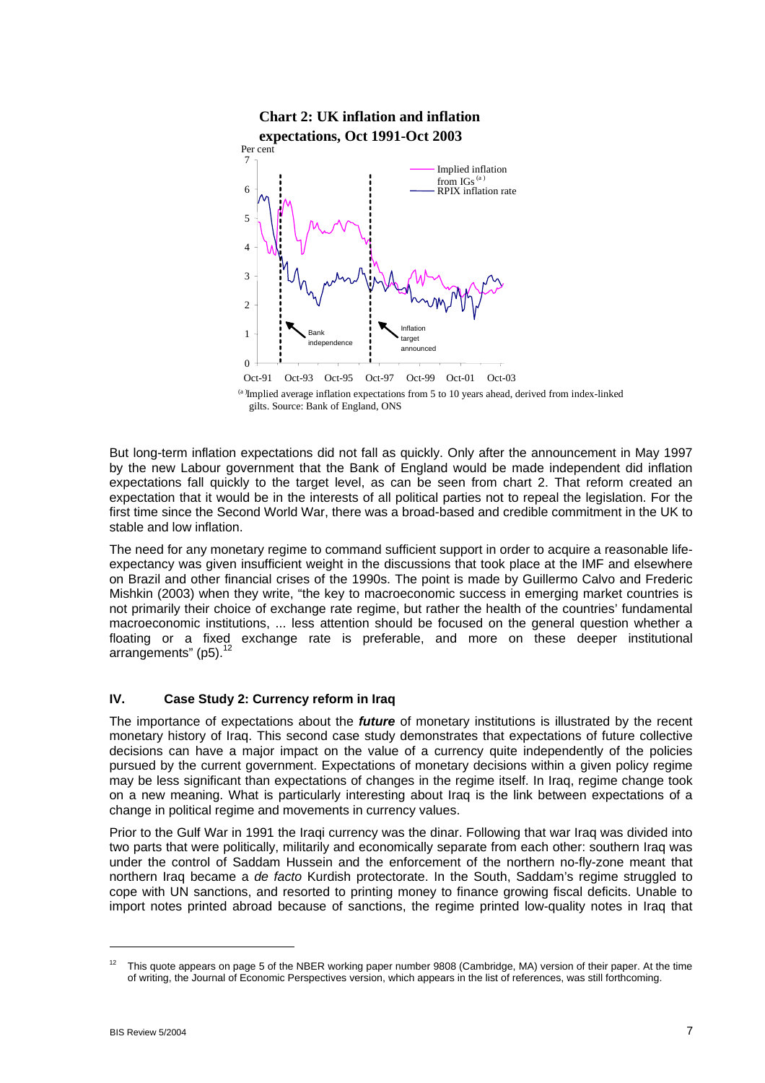

<sup>(</sup>a )Implied average inflation expectations from 5 to 10 years ahead, derived from index-linked gilts. Source: Bank of England, ONS

But long-term inflation expectations did not fall as quickly. Only after the announcement in May 1997 by the new Labour government that the Bank of England would be made independent did inflation expectations fall quickly to the target level, as can be seen from chart 2. That reform created an expectation that it would be in the interests of all political parties not to repeal the legislation. For the first time since the Second World War, there was a broad-based and credible commitment in the UK to stable and low inflation.

The need for any monetary regime to command sufficient support in order to acquire a reasonable lifeexpectancy was given insufficient weight in the discussions that took place at the IMF and elsewhere on Brazil and other financial crises of the 1990s. The point is made by Guillermo Calvo and Frederic Mishkin (2003) when they write, "the key to macroeconomic success in emerging market countries is not primarily their choice of exchange rate regime, but rather the health of the countries' fundamental macroeconomic institutions, ... less attention should be focused on the general question whether a floating or a fixed exchange rate is preferable, and more on these deeper institutional arrangements"  $(p5)$ .<sup>1</sup>

## **IV. Case Study 2: Currency reform in Iraq**

The importance of expectations about the *future* of monetary institutions is illustrated by the recent monetary history of Iraq. This second case study demonstrates that expectations of future collective decisions can have a major impact on the value of a currency quite independently of the policies pursued by the current government. Expectations of monetary decisions within a given policy regime may be less significant than expectations of changes in the regime itself. In Iraq, regime change took on a new meaning. What is particularly interesting about Iraq is the link between expectations of a change in political regime and movements in currency values.

Prior to the Gulf War in 1991 the Iraqi currency was the dinar. Following that war Iraq was divided into two parts that were politically, militarily and economically separate from each other: southern Iraq was under the control of Saddam Hussein and the enforcement of the northern no-fly-zone meant that northern Iraq became a *de facto* Kurdish protectorate. In the South, Saddam's regime struggled to cope with UN sanctions, and resorted to printing money to finance growing fiscal deficits. Unable to import notes printed abroad because of sanctions, the regime printed low-quality notes in Iraq that

 $\overline{a}$ 

 $12$  This quote appears on page 5 of the NBER working paper number 9808 (Cambridge, MA) version of their paper. At the time of writing, the Journal of Economic Perspectives version, which appears in the list of references, was still forthcoming.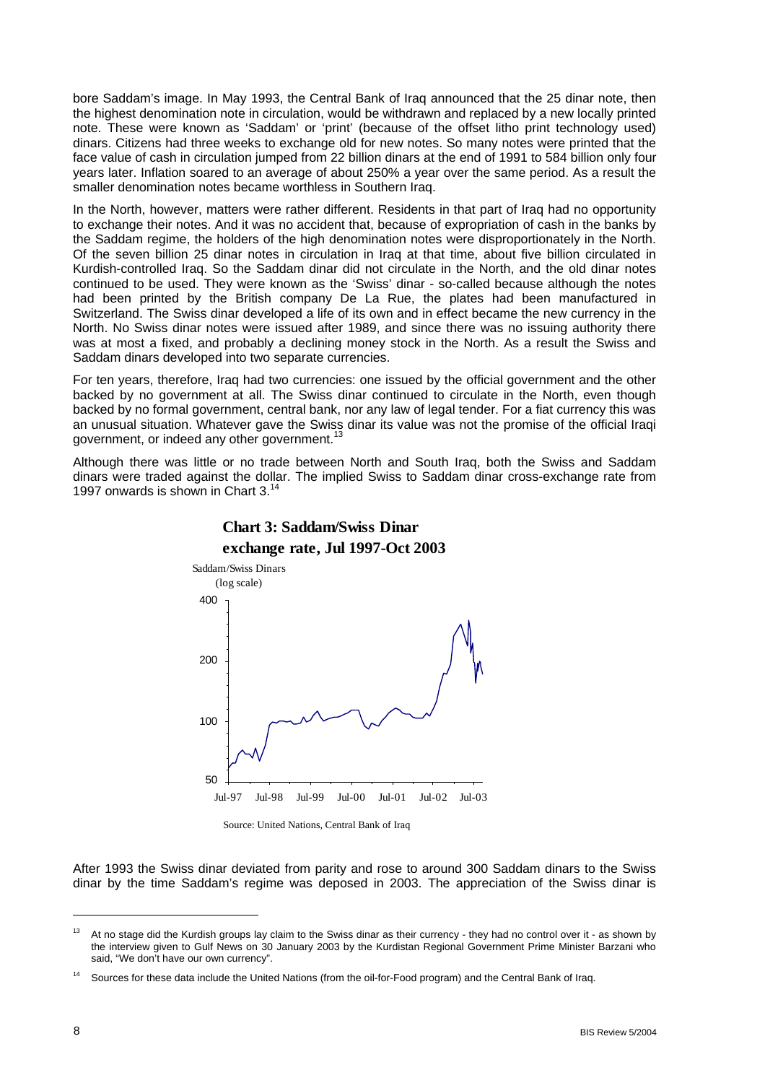bore Saddam's image. In May 1993, the Central Bank of Iraq announced that the 25 dinar note, then the highest denomination note in circulation, would be withdrawn and replaced by a new locally printed note. These were known as 'Saddam' or 'print' (because of the offset litho print technology used) dinars. Citizens had three weeks to exchange old for new notes. So many notes were printed that the face value of cash in circulation jumped from 22 billion dinars at the end of 1991 to 584 billion only four years later. Inflation soared to an average of about 250% a year over the same period. As a result the smaller denomination notes became worthless in Southern Iraq.

In the North, however, matters were rather different. Residents in that part of Iraq had no opportunity to exchange their notes. And it was no accident that, because of expropriation of cash in the banks by the Saddam regime, the holders of the high denomination notes were disproportionately in the North. Of the seven billion 25 dinar notes in circulation in Iraq at that time, about five billion circulated in Kurdish-controlled Iraq. So the Saddam dinar did not circulate in the North, and the old dinar notes continued to be used. They were known as the 'Swiss' dinar - so-called because although the notes had been printed by the British company De La Rue, the plates had been manufactured in Switzerland. The Swiss dinar developed a life of its own and in effect became the new currency in the North. No Swiss dinar notes were issued after 1989, and since there was no issuing authority there was at most a fixed, and probably a declining money stock in the North. As a result the Swiss and Saddam dinars developed into two separate currencies.

For ten years, therefore, Iraq had two currencies: one issued by the official government and the other backed by no government at all. The Swiss dinar continued to circulate in the North, even though backed by no formal government, central bank, nor any law of legal tender. For a fiat currency this was an unusual situation. Whatever gave the Swiss dinar its value was not the promise of the official Iraqi government, or indeed any other government.<sup>13</sup>

Although there was little or no trade between North and South Iraq, both the Swiss and Saddam dinars were traded against the dollar. The implied Swiss to Saddam dinar cross-exchange rate from 1997 onwards is shown in Chart 3.<sup>14</sup>



Source: United Nations, Central Bank of Iraq

After 1993 the Swiss dinar deviated from parity and rose to around 300 Saddam dinars to the Swiss dinar by the time Saddam's regime was deposed in 2003. The appreciation of the Swiss dinar is

<sup>&</sup>lt;sup>13</sup> At no stage did the Kurdish groups lay claim to the Swiss dinar as their currency - they had no control over it - as shown by the interview given to Gulf News on 30 January 2003 by the Kurdistan Regional Government Prime Minister Barzani who said, "We don't have our own currency".

<sup>&</sup>lt;sup>14</sup> Sources for these data include the United Nations (from the oil-for-Food program) and the Central Bank of Iraq.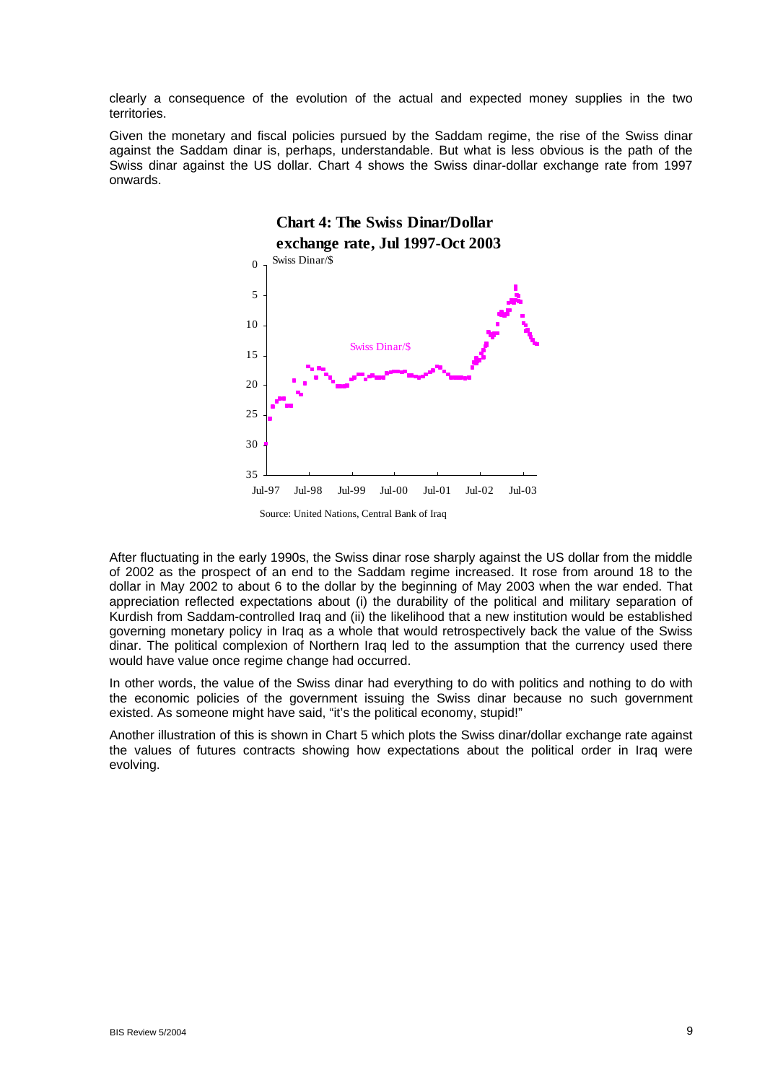clearly a consequence of the evolution of the actual and expected money supplies in the two territories.

Given the monetary and fiscal policies pursued by the Saddam regime, the rise of the Swiss dinar against the Saddam dinar is, perhaps, understandable. But what is less obvious is the path of the Swiss dinar against the US dollar. Chart 4 shows the Swiss dinar-dollar exchange rate from 1997 onwards.



Source: United Nations, Central Bank of Iraq

After fluctuating in the early 1990s, the Swiss dinar rose sharply against the US dollar from the middle of 2002 as the prospect of an end to the Saddam regime increased. It rose from around 18 to the dollar in May 2002 to about 6 to the dollar by the beginning of May 2003 when the war ended. That appreciation reflected expectations about (i) the durability of the political and military separation of Kurdish from Saddam-controlled Iraq and (ii) the likelihood that a new institution would be established governing monetary policy in Iraq as a whole that would retrospectively back the value of the Swiss dinar. The political complexion of Northern Iraq led to the assumption that the currency used there would have value once regime change had occurred.

In other words, the value of the Swiss dinar had everything to do with politics and nothing to do with the economic policies of the government issuing the Swiss dinar because no such government existed. As someone might have said, "it's the political economy, stupid!"

Another illustration of this is shown in Chart 5 which plots the Swiss dinar/dollar exchange rate against the values of futures contracts showing how expectations about the political order in Iraq were evolving.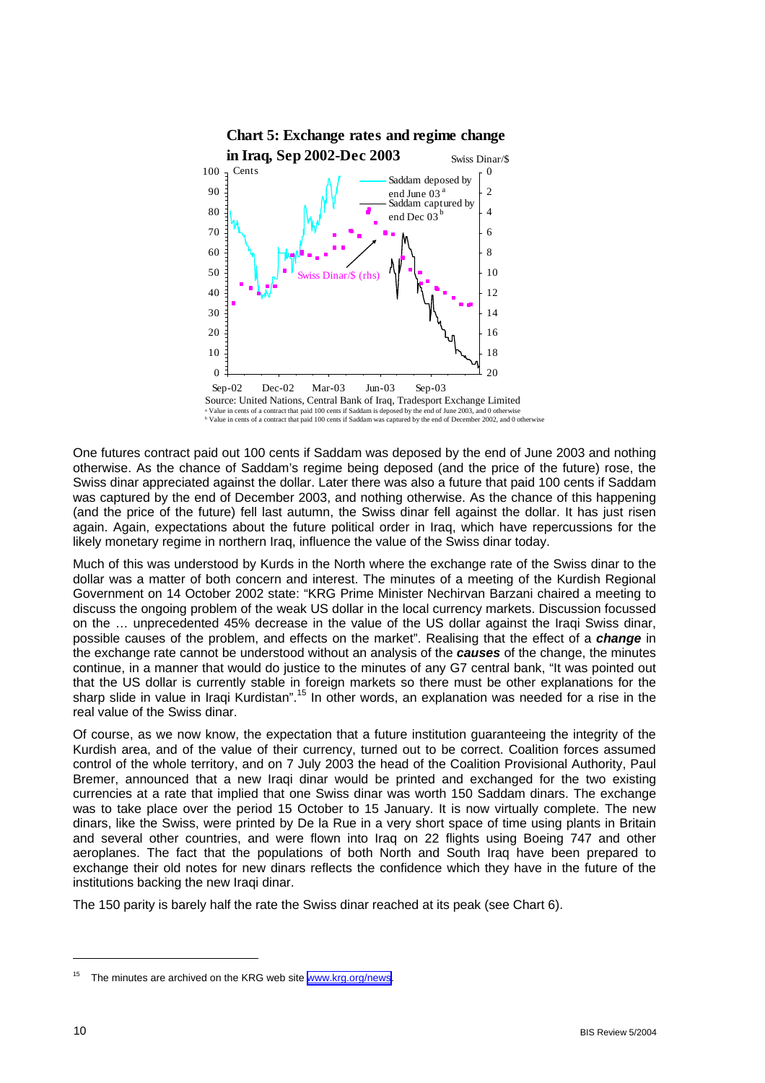

One futures contract paid out 100 cents if Saddam was deposed by the end of June 2003 and nothing otherwise. As the chance of Saddam's regime being deposed (and the price of the future) rose, the Swiss dinar appreciated against the dollar. Later there was also a future that paid 100 cents if Saddam was captured by the end of December 2003, and nothing otherwise. As the chance of this happening (and the price of the future) fell last autumn, the Swiss dinar fell against the dollar. It has just risen again. Again, expectations about the future political order in Iraq, which have repercussions for the likely monetary regime in northern Iraq, influence the value of the Swiss dinar today.

Much of this was understood by Kurds in the North where the exchange rate of the Swiss dinar to the dollar was a matter of both concern and interest. The minutes of a meeting of the Kurdish Regional Government on 14 October 2002 state: "KRG Prime Minister Nechirvan Barzani chaired a meeting to discuss the ongoing problem of the weak US dollar in the local currency markets. Discussion focussed on the … unprecedented 45% decrease in the value of the US dollar against the Iraqi Swiss dinar, possible causes of the problem, and effects on the market". Realising that the effect of a *change* in the exchange rate cannot be understood without an analysis of the *causes* of the change, the minutes continue, in a manner that would do justice to the minutes of any G7 central bank, "It was pointed out that the US dollar is currently stable in foreign markets so there must be other explanations for the sharp slide in value in Iraqi Kurdistan".<sup>15</sup> In other words, an explanation was needed for a rise in the real value of the Swiss dinar.

Of course, as we now know, the expectation that a future institution guaranteeing the integrity of the Kurdish area, and of the value of their currency, turned out to be correct. Coalition forces assumed control of the whole territory, and on 7 July 2003 the head of the Coalition Provisional Authority, Paul Bremer, announced that a new Iraqi dinar would be printed and exchanged for the two existing currencies at a rate that implied that one Swiss dinar was worth 150 Saddam dinars. The exchange was to take place over the period 15 October to 15 January. It is now virtually complete. The new dinars, like the Swiss, were printed by De la Rue in a very short space of time using plants in Britain and several other countries, and were flown into Iraq on 22 flights using Boeing 747 and other aeroplanes. The fact that the populations of both North and South Iraq have been prepared to exchange their old notes for new dinars reflects the confidence which they have in the future of the institutions backing the new Iraqi dinar.

The 150 parity is barely half the rate the Swiss dinar reached at its peak (see Chart 6).

<sup>&</sup>lt;sup>15</sup> The minutes are archived on the KRG web site [www.krg.org/news](http://www.krg.org/news).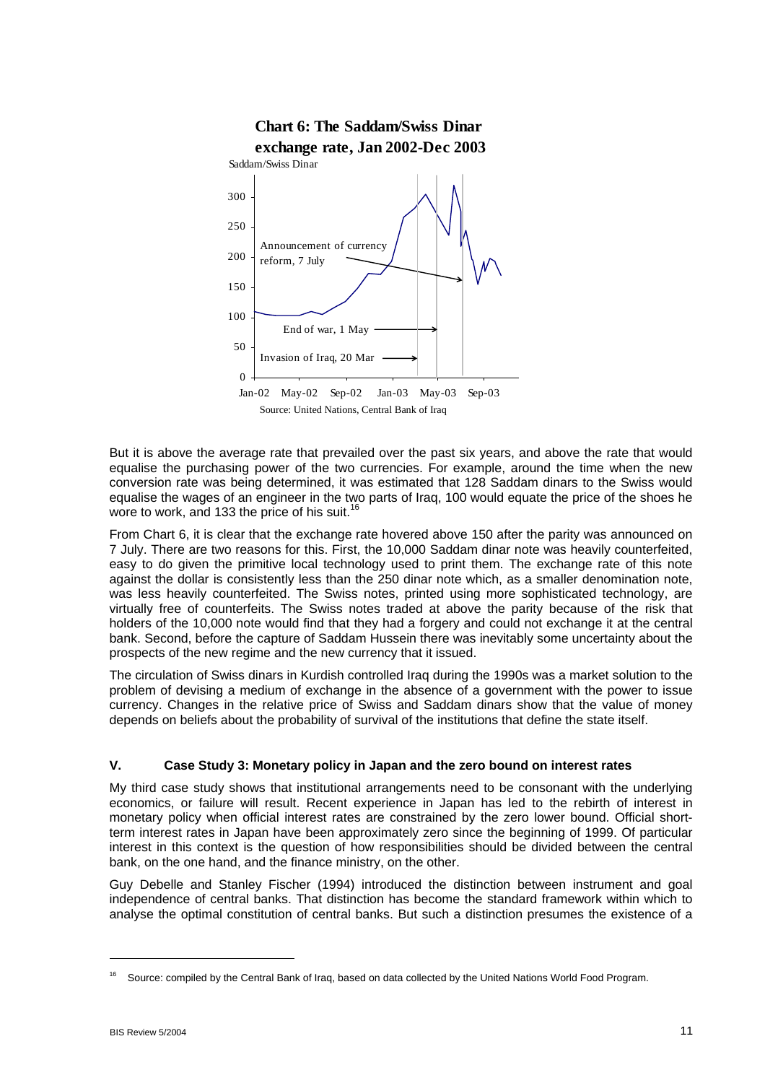# **Chart 6: The Saddam/Swiss Dinar exchange rate, Jan 2002-Dec 2003**



But it is above the average rate that prevailed over the past six years, and above the rate that would equalise the purchasing power of the two currencies. For example, around the time when the new conversion rate was being determined, it was estimated that 128 Saddam dinars to the Swiss would equalise the wages of an engineer in the two parts of Iraq, 100 would equate the price of the shoes he wore to work, and 133 the price of his suit.<sup>16</sup>

From Chart 6, it is clear that the exchange rate hovered above 150 after the parity was announced on 7 July. There are two reasons for this. First, the 10,000 Saddam dinar note was heavily counterfeited, easy to do given the primitive local technology used to print them. The exchange rate of this note against the dollar is consistently less than the 250 dinar note which, as a smaller denomination note, was less heavily counterfeited. The Swiss notes, printed using more sophisticated technology, are virtually free of counterfeits. The Swiss notes traded at above the parity because of the risk that holders of the 10,000 note would find that they had a forgery and could not exchange it at the central bank. Second, before the capture of Saddam Hussein there was inevitably some uncertainty about the prospects of the new regime and the new currency that it issued.

The circulation of Swiss dinars in Kurdish controlled Iraq during the 1990s was a market solution to the problem of devising a medium of exchange in the absence of a government with the power to issue currency. Changes in the relative price of Swiss and Saddam dinars show that the value of money depends on beliefs about the probability of survival of the institutions that define the state itself.

## **V. Case Study 3: Monetary policy in Japan and the zero bound on interest rates**

My third case study shows that institutional arrangements need to be consonant with the underlying economics, or failure will result. Recent experience in Japan has led to the rebirth of interest in monetary policy when official interest rates are constrained by the zero lower bound. Official shortterm interest rates in Japan have been approximately zero since the beginning of 1999. Of particular interest in this context is the question of how responsibilities should be divided between the central bank, on the one hand, and the finance ministry, on the other.

Guy Debelle and Stanley Fischer (1994) introduced the distinction between instrument and goal independence of central banks. That distinction has become the standard framework within which to analyse the optimal constitution of central banks. But such a distinction presumes the existence of a

Source: compiled by the Central Bank of Iraq, based on data collected by the United Nations World Food Program.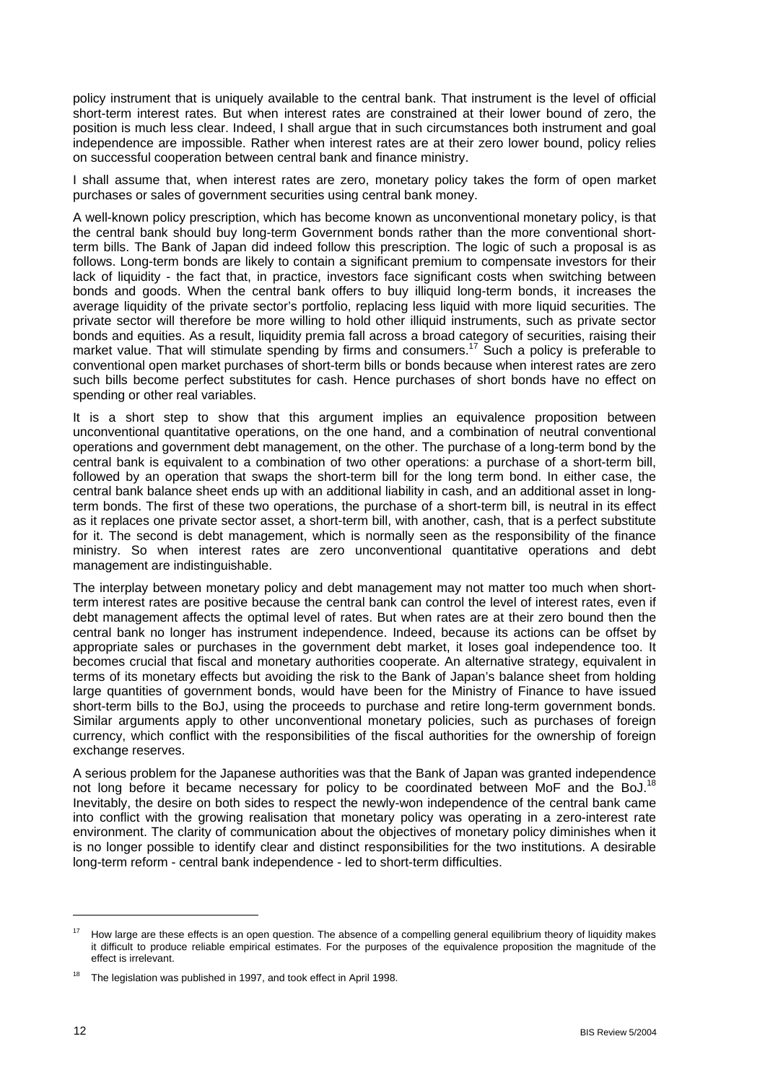policy instrument that is uniquely available to the central bank. That instrument is the level of official short-term interest rates. But when interest rates are constrained at their lower bound of zero, the position is much less clear. Indeed, I shall argue that in such circumstances both instrument and goal independence are impossible. Rather when interest rates are at their zero lower bound, policy relies on successful cooperation between central bank and finance ministry.

I shall assume that, when interest rates are zero, monetary policy takes the form of open market purchases or sales of government securities using central bank money.

A well-known policy prescription, which has become known as unconventional monetary policy, is that the central bank should buy long-term Government bonds rather than the more conventional shortterm bills. The Bank of Japan did indeed follow this prescription. The logic of such a proposal is as follows. Long-term bonds are likely to contain a significant premium to compensate investors for their lack of liquidity - the fact that, in practice, investors face significant costs when switching between bonds and goods. When the central bank offers to buy illiquid long-term bonds, it increases the average liquidity of the private sector's portfolio, replacing less liquid with more liquid securities. The private sector will therefore be more willing to hold other illiquid instruments, such as private sector bonds and equities. As a result, liquidity premia fall across a broad category of securities, raising their market value. That will stimulate spending by firms and consumers.<sup>17</sup> Such a policy is preferable to conventional open market purchases of short-term bills or bonds because when interest rates are zero such bills become perfect substitutes for cash. Hence purchases of short bonds have no effect on spending or other real variables.

It is a short step to show that this argument implies an equivalence proposition between unconventional quantitative operations, on the one hand, and a combination of neutral conventional operations and government debt management, on the other. The purchase of a long-term bond by the central bank is equivalent to a combination of two other operations: a purchase of a short-term bill, followed by an operation that swaps the short-term bill for the long term bond. In either case, the central bank balance sheet ends up with an additional liability in cash, and an additional asset in longterm bonds. The first of these two operations, the purchase of a short-term bill, is neutral in its effect as it replaces one private sector asset, a short-term bill, with another, cash, that is a perfect substitute for it. The second is debt management, which is normally seen as the responsibility of the finance ministry. So when interest rates are zero unconventional quantitative operations and debt management are indistinguishable.

The interplay between monetary policy and debt management may not matter too much when shortterm interest rates are positive because the central bank can control the level of interest rates, even if debt management affects the optimal level of rates. But when rates are at their zero bound then the central bank no longer has instrument independence. Indeed, because its actions can be offset by appropriate sales or purchases in the government debt market, it loses goal independence too. It becomes crucial that fiscal and monetary authorities cooperate. An alternative strategy, equivalent in terms of its monetary effects but avoiding the risk to the Bank of Japan's balance sheet from holding large quantities of government bonds, would have been for the Ministry of Finance to have issued short-term bills to the BoJ, using the proceeds to purchase and retire long-term government bonds. Similar arguments apply to other unconventional monetary policies, such as purchases of foreign currency, which conflict with the responsibilities of the fiscal authorities for the ownership of foreign exchange reserves.

A serious problem for the Japanese authorities was that the Bank of Japan was granted independence not long before it became necessary for policy to be coordinated between MoF and the BoJ.<sup>18</sup> Inevitably, the desire on both sides to respect the newly-won independence of the central bank came into conflict with the growing realisation that monetary policy was operating in a zero-interest rate environment. The clarity of communication about the objectives of monetary policy diminishes when it is no longer possible to identify clear and distinct responsibilities for the two institutions. A desirable long-term reform - central bank independence - led to short-term difficulties.

<sup>17</sup> How large are these effects is an open question. The absence of a compelling general equilibrium theory of liquidity makes it difficult to produce reliable empirical estimates. For the purposes of the equivalence proposition the magnitude of the effect is irrelevant.

<sup>&</sup>lt;sup>18</sup> The legislation was published in 1997, and took effect in April 1998.